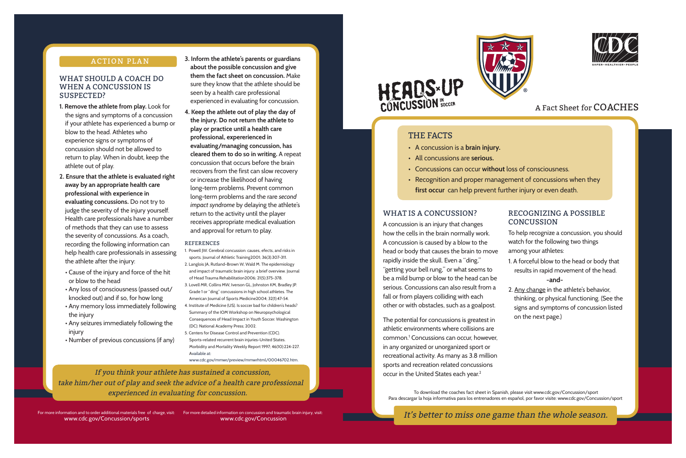### **ACTION PLAN**

## WHAT SHOULD A COACH DO WHEN A CONCUSSION IS SUSPECTED?

 If you think your athlete has sustained a concussion, take him/her out of play and seek the advice of a health care professional

experienced in evaluating for concussion. The concussion of the coaches fact sheet in Spanish, please visit www.cdc.gov/Concussion/sport Para descargar la hoja informativa para los entrenadores en español, por favor visite: www.cdc.gov/Concussion/sport

It's better to miss one game than the whole season.





## A Fact Sheet for COACHES

- 
- 
- 
- 

## RECOGNIZING A POSSIBLE **CONCUSSION**

of charge, visit: For more detailed information on concussion and traumatic brain injury, visit:  $I'S$ www.cdc.gov/Concussion

# HEADS-UP

## THE FACTS

www.cdc.gov/Concussion/sports

The potential for concussions is greatest in athletic environments where collisions are common.1 Concussions can occur, however, in any organized or unorganized sport or recreational activity. As many as 3.8 million sports and recreation related concussions occur in the United States each year.<sup>2</sup>

A concussion is an injury that changes how the cells in the brain normally work. A concussion is caused by a blow to the head or body that causes the brain to move rapidly inside the skull. Even a "ding," "getting your bell rung," or what seems to be a mild bump or blow to the head can be serious. Concussions can also result from a fall or from players colliding with each other or with obstacles, such as a goalpost.

- To help recognize a concussion, you should watch for the following two things among your athletes:
- 1. A forceful blow to the head or body that results in rapid movement of the head.  **-and-**
- 2. Any change in the athlete's behavior, thinking, or physical functioning. (See the signs and symptoms of concussion listed on the next page.)
- **1. Remove the athlete from play.** Look for the signs and symptoms of a concussion if your athlete has experienced a bump or blow to the head. Athletes who experience signs or symptoms of concussion should not be allowed to return to play. When in doubt, keep the athlete out of play.
- **2. Ensure that the athlete is evaluated right away by an appropriate health care professional with experience in evaluating concussions.** Do not try to judge the severity of the injury yourself. Health care professionals have a number of methods that they can use to assess the severity of concussions. As a coach, recording the following information can help health care professionals in assessing the athlete after the injury:
- Cause of the injury and force of the hit or blow to the head
- Any loss of consciousness (passed out/ knocked out) and if so, for how long
- Any memory loss immediately following the injury
- Any seizures immediately following the injury
- Number of previous concussions (if any)
- **3. Inform the athlete's parents or guardians about the possible concussion and give them the fact sheet on concussion.** Make sure they know that the athlete should be seen by a health care professional experienced in evaluating for concussion.
- **4. Keep the athlete out of play the day of the injury. Do not return the athlete to play or practice until a health care professional, expererienced in evaluating/managing concussion, has cleared them to do so in writing.** A repeat concussion that occurs before the brain recovers from the first can slow recovery or increase the likelihood of having long-term problems. Prevent common long-term problems and the rare *second impact syndrome* by delaying the athlete's return to the activity until the player receives appropriate medical evaluation and approval for return to play.

#### **REFERENCES**

- 1. Powell JW. Cerebral concussion: causes, efects, and risks in sports. Journal of Athletic Training2001; 36(3):307-311.
- 2. Langlois JA, Rutland-Brown W, Wald M. The epidemiology and impact of traumatic brain injury: a brief overview. Journal of Head Trauma Rehabilitation2006; 21(5):375-378.
- 3. Lovell MR, Collins MW, Iverson GL, Johnston KM, Bradley JP. Grade 1 or "ding" concussions in high school athletes. The American Journal of Sports Medicine2004; 32(1):47-54.
- 4. Institute of Medicine (US). Is soccer bad for children's heads? Summary of the IOM Workshop on Neuropsychological Consequences of Head Impact in Youth Soccer. Washington (DC): National Academy Press; 2002.
- 5. Centers for Disease Control and Prevention (CDC). Sports-related recurrent brain injuries-United States. Morbidity and Mortality Weekly Report 1997; 46(10):224-227. Available at:

www.cdc.gov/mmwr/preview/mmwrhtml/00046702.htm.

- A concussion is a **brain injury.**  • All concussions are **serious.**  • Concussions can occur **without** loss of consciousness. • Recognition and proper management of concussions when they
- 
- 
- **first occur** can help prevent further injury or even death.

## WHAT IS A CONCUSSION?